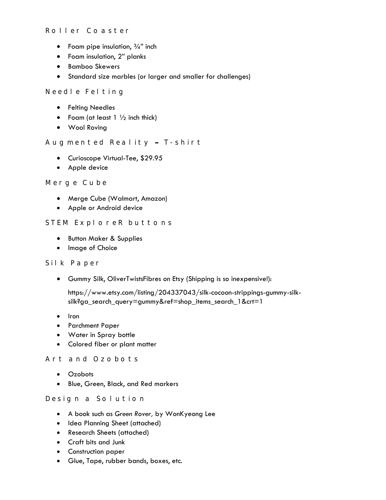#### Roller Coaster

- Foam pipe insulation,  $\frac{3}{4}$ " inch
- Foam insulation, 2" planks
- **•** Bamboo Skewers
- Standard size marbles (or larger and smaller for challenges)

#### Need le Felting

- **•** Felting Needles
- Foam (at least  $1 \frac{1}{2}$  inch thick)
- Wool Roving

#### Augmented Reality - T-shirt

- Curioscope Virtual-Tee, \$29.95
- Apple device

#### Merge Cube

- Merge Cube (Walmart, Amazon)
- Apple or Android device

#### STEM ExploreR buttons

- **•** Button Maker & Supplies
- Image of Choice

#### Silk Paper

Gummy Silk, OliverTwistsFibres on Etsy (Shipping is so inexpensive!):

https://www.etsy.com/listing/204337043/silk-cocoon-strippings-gummy-silksilk?ga\_search\_query=gummy&ref=shop\_items\_search\_1&crt=1

- Iron
- Parchment Paper
- Water in Spray bottle
- Colored fiber or plant matter

#### Art and Ozobots

- Ozobots
- Blue, Green, Black, and Red markers

#### Design a Solution

- A book such as *Green Rover,* by WonKyeong Lee
- Idea Planning Sheet (attached)
- Research Sheets (attached)
- Craft bits and Junk
- **•** Construction paper
- Glue, Tape, rubber bands, boxes, etc.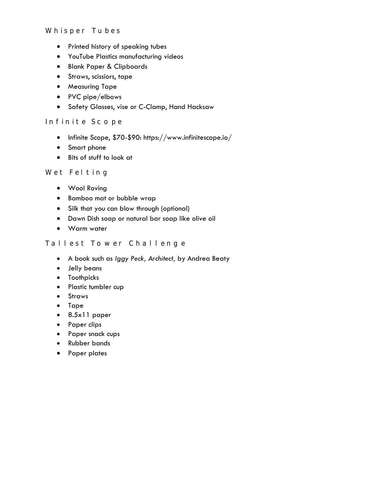- Printed history of speaking tubes
- YouTube Plastics manufacturing videos
- Blank Paper & Clipboards
- Straws, scissiors, tape
- **•** Measuring Tape
- PVC pipe/elbows
- **•** Safety Glasses, vise or C-Clamp, Hand Hacksaw

#### Infinite Scope

- Infinite Scope, \$70-\$90:<https://www.infinitescope.io/>
- Smart phone
- Bits of stuff to look at

#### Wet Felting

- Wool Roving
- **•** Bamboo mat or bubble wrap
- Silk that you can blow through (optional)
- Dawn Dish soap or natural bar soap like olive oil
- Warm water

#### Tallest Tower Challenge

- A book such as *Iggy Peck, Architect,* by Andrea Beaty
- Jelly beans
- **•** Toothpicks
- Plastic tumbler cup
- **•** Straws
- Tape
- 8.5x11 paper
- Paper clips
- Paper snack cups
- Rubber bands
- Paper plates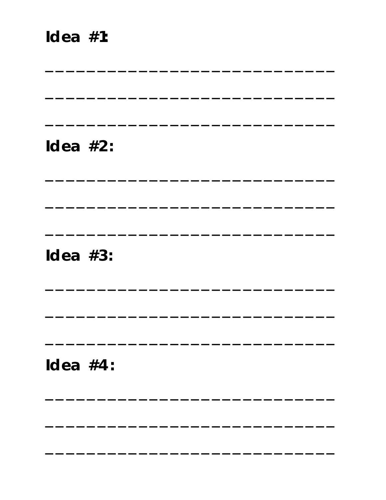# Idea  $#2$ :

<u> 1989 - Jan Salaman Salaman (j. 1989)</u>

Idea  $#3$ :

Idea  $#4$ :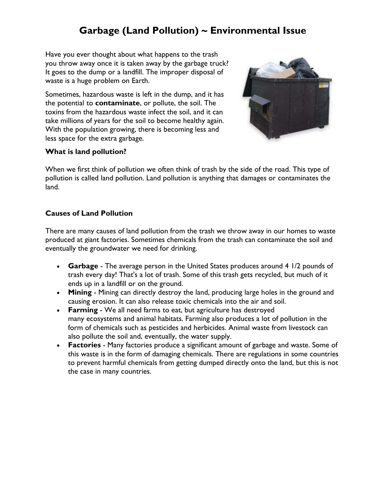### **Garbage (Land Pollution) ~ Environmental Issue**

Have you ever thought about what happens to the trash you throw away once it is taken away by the garbage truck? It goes to the dump or a landfill. The improper disposal of waste is a huge problem on Earth.

Sometimes, hazardous waste is left in the dump, and it has the potential to **contaminate**, or pollute, the soil. The toxins from the hazardous waste infect the soil, and it can take millions of years for the soil to become healthy again. With the population growing, there is becoming less and less space for the extra garbage.



#### **What is land pollution?**

When we first think of pollution we often think of trash by the side of the road. This type of pollution is called land pollution. Land pollution is anything that damages or contaminates the land.

#### **Causes of Land Pollution**

There are many causes of land pollution from the trash we throw away in our homes to waste produced at giant factories. Sometimes chemicals from the trash can contaminate the soil and eventually the groundwater we need for drinking.

- **Garbage** The average person in the United States produces around 4 1/2 pounds of trash every day! That's a lot of trash. Some of this trash gets recycled, but much of it ends up in a landfill or on the ground.
- **Mining** Mining can directly destroy the land, producing large holes in the ground and causing erosion. It can also release toxic chemicals into the air and soil.
- **Farming** We all need farms to eat, but agriculture has destroyed many [ecosystems](https://www.ducksters.com/science/ecosystems/world_biomes.php) and animal habitats. Farming also produces a lot of pollution in the form of chemicals such as pesticides and herbicides. Animal waste from livestock can also pollute the soil and, eventually, the water supply.
- **Factories** Many factories produce a significant amount of garbage and waste. Some of this waste is in the form of damaging chemicals. There are regulations in some countries to prevent harmful chemicals from getting dumped directly onto the land, but this is not the case in many countries.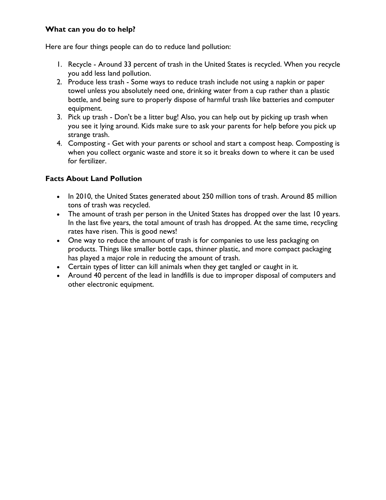#### **What can you do to help?**

Here are four things people can do to reduce land pollution:

- 1. Recycle Around 33 percent of trash in the United States is recycled. When you recycle you add less land pollution.
- 2. Produce less trash Some ways to reduce trash include not using a napkin or paper towel unless you absolutely need one, drinking water from a cup rather than a plastic bottle, and being sure to properly dispose of harmful trash like batteries and computer equipment.
- 3. Pick up trash Don't be a litter bug! Also, you can help out by picking up trash when you see it lying around. Kids make sure to ask your parents for help before you pick up strange trash.
- 4. Composting Get with your parents or school and start a compost heap. Composting is when you collect organic waste and store it so it breaks down to where it can be used for fertilizer.

#### **Facts About Land Pollution**

- In 2010, the United States generated about 250 million tons of trash. Around 85 million tons of trash was recycled.
- The amount of trash per person in the United States has dropped over the last 10 years. In the last five years, the total amount of trash has dropped. At the same time, recycling rates have risen. This is good news!
- One way to reduce the amount of trash is for companies to use less packaging on products. Things like smaller bottle caps, thinner plastic, and more compact packaging has played a major role in reducing the amount of trash.
- Certain types of litter can kill animals when they get tangled or caught in it.
- Around 40 percent of the lead in landfills is due to improper disposal of computers and other electronic equipment.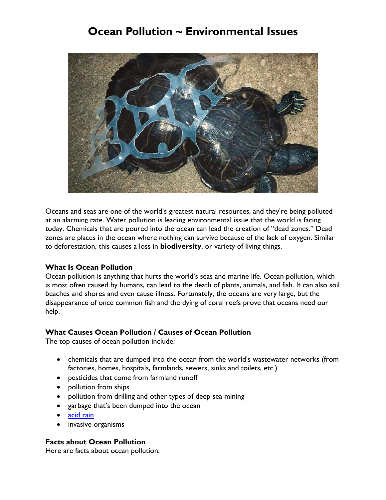## **Ocean Pollution ~ Environmental Issues**



Oceans and seas are one of the world's greatest natural resources, and they're being polluted at an alarming rate. Water pollution is leading environmental issue that the world is facing today. Chemicals that are poured into the ocean can lead the creation of "dead zones." Dead zones are places in the ocean where nothing can survive because of the lack of oxygen. Similar to deforestation, this causes a loss in **biodiversity**, or variety of living things.

#### **What Is Ocean Pollution**

Ocean pollution is anything that hurts the world's seas and marine life. Ocean pollution, which is most often caused by humans, can lead to the death of plants, animals, and fish. It can also soil beaches and shores and even cause illness. Fortunately, the oceans are very large, but the disappearance of once common fish and the dying of coral reefs prove that oceans need our help.

#### **What Causes Ocean Pollution / Causes of Ocean Pollution**

The top causes of ocean pollution include:

- chemicals that are dumped into the ocean from the world's wastewater networks (from factories, homes, hospitals, farmlands, sewers, sinks and toilets, etc.)
- pesticides that come from farmland runoff
- pollution from ships
- pollution from drilling and other types of deep sea mining
- garbage that's been dumped into the ocean
- [acid](http://www.listofenvironmentalissues.com/environmental-issues-acid-rain/) rain
- invasive organisms

#### **Facts about Ocean Pollution**

Here are facts about ocean pollution: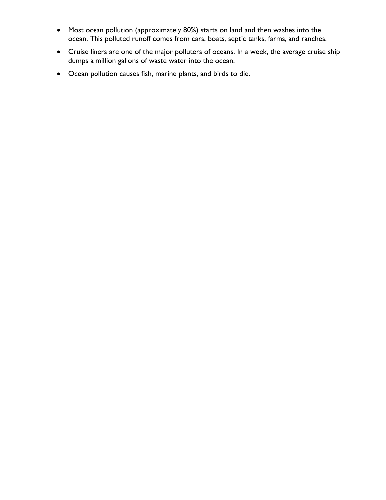- Most ocean pollution (approximately 80%) starts on land and then washes into the ocean. This polluted runoff comes from cars, boats, septic tanks, farms, and ranches.
- Cruise liners are one of the major polluters of oceans. In a week, the average cruise ship dumps a million gallons of waste water into the ocean.
- Ocean pollution causes fish, marine plants, and birds to die.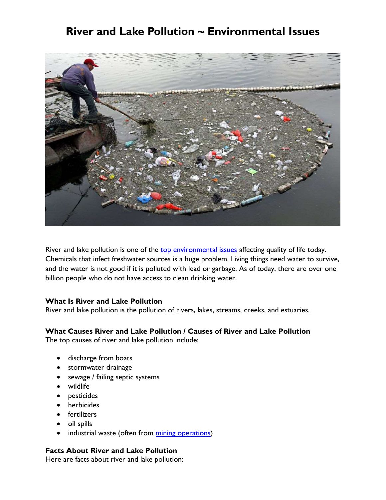### **River and Lake Pollution ~ Environmental Issues**



River and lake pollution is one of the top [environmental](http://www.listofenvironmentalissues.com/top-10-enviornmental-issues-major-top-ten/) issues affecting quality of life today. Chemicals that infect freshwater sources is a huge problem. Living things need water to survive, and the water is not good if it is polluted with lead or garbage. As of today, there are over one billion people who do not have access to clean drinking water.

#### **What Is River and Lake Pollution**

River and lake pollution is the pollution of rivers, lakes, streams, creeks, and estuaries.

#### **What Causes River and Lake Pollution / Causes of River and Lake Pollution**

The top causes of river and lake pollution include:

- discharge from boats
- **stormwater drainage**
- sewage / failing septic systems
- wildlife
- pesticides
- herbicides
- **•** fertilizers
- oil spills
- industrial waste (often from mining [operations\)](http://www.listofenvironmentalissues.com/environmental-issues-with-mining/)

#### **Facts About River and Lake Pollution**

Here are facts about river and lake pollution: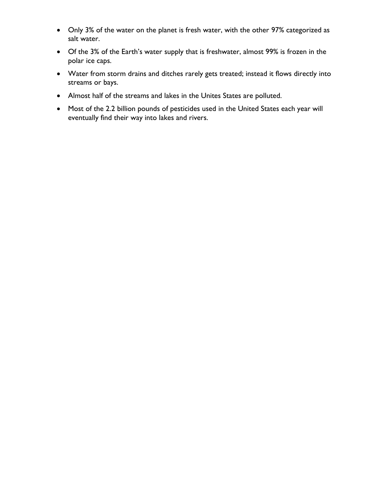- Only 3% of the water on the planet is fresh water, with the other 97% categorized as salt water.
- Of the 3% of the Earth's water supply that is freshwater, almost 99% is frozen in the polar ice caps.
- Water from storm drains and ditches rarely gets treated; instead it flows directly into streams or bays.
- Almost half of the streams and lakes in the Unites States are polluted.
- Most of the 2.2 billion pounds of pesticides used in the United States each year will eventually find their way into lakes and rivers.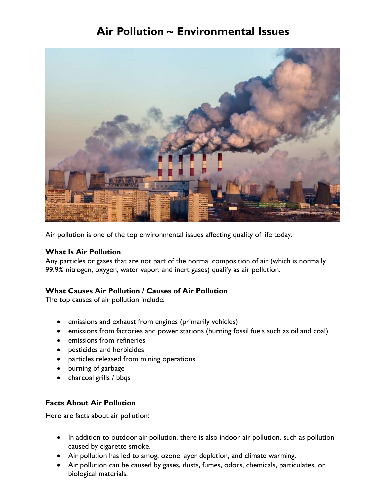## **Air Pollution ~ Environmental Issues**



Air pollution is one of the top [environmental](http://www.listofenvironmentalissues.com/list-of-environmental-issues/) issues affecting quality of life today.

#### **What Is Air Pollution**

Any particles or gases that are not part of the normal composition of air (which is normally 99.9% nitrogen, oxygen, water vapor, and inert gases) qualify as air pollution.

#### **What Causes Air Pollution / Causes of Air Pollution**

The top causes of air pollution include:

- emissions and exhaust from engines (primarily vehicles)
- emissions from factories and power stations (burning fossil fuels such as oil and coal)
- emissions from refineries
- pesticides and herbicides
- particles released from mining operations
- burning of garbage
- charcoal grills / bbqs

#### **Facts About Air Pollution**

Here are facts about air pollution:

- In addition to outdoor air pollution, there is also indoor air pollution, such as pollution caused by cigarette smoke.
- Air pollution has led to smog, ozone layer [depletion,](http://www.listofenvironmentalissues.com/environmental-issues-ozone-layer-depletion/) and climate [warming.](http://www.listofenvironmentalissues.com/environmental-issues-climate-change-global-warming/)
- Air pollution can be caused by gases, dusts, fumes, odors, chemicals, particulates, or biological materials.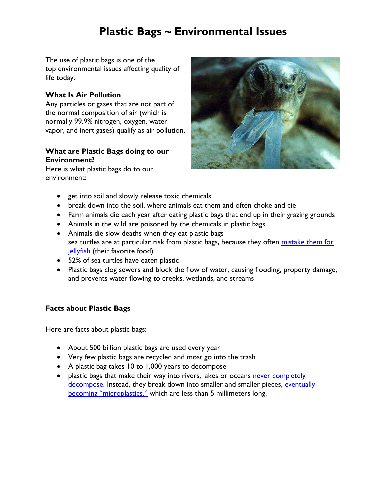# **Plastic Bags ~ Environmental Issues**

The use of plastic bags is one of the top [environmental](http://www.listofenvironmentalissues.com/list-of-environmental-issues/) issues affecting quality of life today.

#### **What Is Air Pollution**

Any particles or gases that are not part of the normal composition of air (which is normally 99.9% nitrogen, oxygen, water vapor, and inert gases) qualify as air pollution.

#### **What are Plastic Bags doing to our Environment?**

Here is what plastic bags do to our environment:



- get into soil and slowly release toxic chemicals
- break down into the soil, where animals eat them and often choke and die
- Farm animals die each year after eating plastic bags that end up in their grazing grounds
- Animals in the wild are poisoned by the chemicals in plastic bags
- Animals die slow deaths when they eat plastic bags sea turtles are at particular risk from plastic bags, because they often mistake them for [jellyfish](http://www.onegreenplanet.org/news/what-a-plastic-bag-looks-like-to-a-sea-turtle/) (their favorite food)
- 52% of sea turtles have eaten plastic
- Plastic bags clog sewers and block the flow of water, causing flooding, property damage, and prevents water flowing to creeks, wetlands, and streams

#### **Facts about Plastic Bags**

Here are facts about plastic bags:

- About 500 billion plastic bags are used every year
- Very few plastic bags are recycled and most go into the trash
- A plastic bag takes 10 to 1,000 years to decompose
- plastic bags that make their way into rivers, lakes or oceans never completely [decompose.](https://www.des.nh.gov/organization/divisions/water/wmb/coastal/trash/documents/marine_debris.pdf) Instead, they break down into smaller and smaller pieces, eventually [becoming "microplastics,"](https://greenerideal.com/news/environment/microplastics-make-way-ocean-food-chain-fish/) which are less than 5 millimeters long.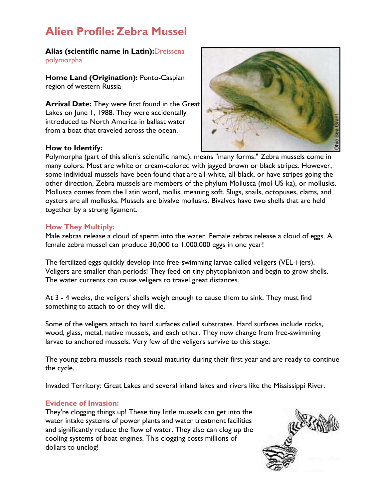# **Alien Profile: Zebra Mussel**

**Alias (scientific name in Latin):**Dreissena polymorpha

**Home Land (Origination):** Ponto-Caspian region of western Russia

**Arrival Date:** They were first found in the Great Lakes on June 1, 1988. They were accidentally introduced to North America in ballast water from a boat that traveled across the ocean.

#### **How to Identify:**



Polymorpha (part of this alien's scientific name), means "many forms." Zebra mussels come in many colors. Most are white or cream-colored with jagged brown or black stripes. However, some individual mussels have been found that are all-white, all-black, or have stripes going the other direction. Zebra mussels are members of the phylum Mollusca (mol-US-ka), or mollusks. Mollusca comes from the Latin word, mollis, meaning soft. Slugs, snails, octopuses, clams, and oysters are all mollusks. Mussels are bivalve mollusks. Bivalves have two shells that are held together by a strong ligament.

#### **How They Multiply:**

Male zebras release a cloud of sperm into the water. Female zebras release a cloud of eggs. A female zebra mussel can produce 30,000 to 1,000,000 eggs in one year!

The fertilized eggs quickly develop into free-swimming larvae called veligers (VEL-i-jers). Veligers are smaller than periods! They feed on tiny phytoplankton and begin to grow shells. The water currents can cause veligers to travel great distances.

At 3 - 4 weeks, the veligers' shells weigh enough to cause them to sink. They must find something to attach to or they will die.

Some of the veligers attach to hard surfaces called substrates. Hard surfaces include rocks, wood, glass, metal, native mussels, and each other. They now change from free-swimming larvae to anchored mussels. Very few of the veligers survive to this stage.

The young zebra mussels reach sexual maturity during their first year and are ready to continue the cycle.

Invaded Territory: Great Lakes and several inland lakes and rivers like the Mississippi River.

#### **Evidence of Invasion:**

They're clogging things up! These tiny little mussels can get into the water intake systems of power plants and water treatment facilities and significantly reduce the flow of water. They also can clog up the cooling systems of boat engines. This clogging costs millions of dollars to unclog!

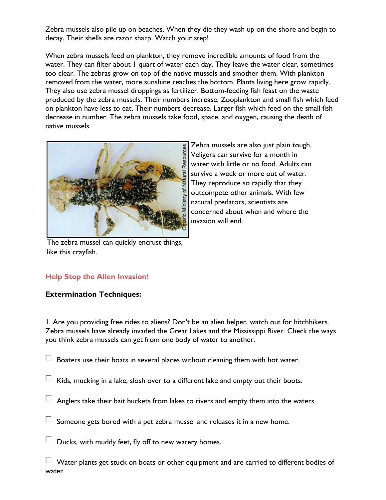Zebra mussels also pile up on beaches. When they die they wash up on the shore and begin to decay. Their shells are razor sharp. Watch your step!

When zebra mussels feed on plankton, they remove incredible amounts of food from the water. They can filter about 1 quart of water each day. They leave the water clear, sometimes too clear. The zebras grow on top of the native mussels and smother them. With plankton removed from the water, more sunshine reaches the bottom. Plants living here grow rapidly. They also use zebra mussel droppings as fertilizer. Bottom-feeding fish feast on the waste produced by the zebra mussels. Their numbers increase. Zooplankton and small fish which feed on plankton have less to eat. Their numbers decrease. Larger fish which feed on the small fish decrease in number. The zebra mussels take food, space, and oxygen, causing the death of native mussels.



Zebra mussels are also just plain tough. Veligers can survive for a month in water with little or no food. Adults can survive a week or more out of water. They reproduce so rapidly that they outcompete other animals. With few natural predators, scientists are concerned about when and where the invasion will end.

The zebra mussel can quickly encrust things, like this crayfish.

#### **Help Stop the Alien Invasion!**

#### **Extermination Techniques:**

1. Are you providing free rides to aliens? Don't be an alien helper, watch out for hitchhikers. Zebra mussels have already invaded the Great Lakes and the Mississippi River. Check the ways you think zebra mussels can get from one body of water to another.

 $\Box$  Boaters use their boats in several places without cleaning them with hot water.

- $\Box$  Kids, mucking in a lake, slosh over to a different lake and empty out their boots.
- $\Box$  Anglers take their bait buckets from lakes to rivers and empty them into the waters.
- $\Box$  Someone gets bored with a pet zebra mussel and releases it in a new home.
- $\Box$  Ducks, with muddy feet, fly off to new watery homes.

 $\Box$  Water plants get stuck on boats or other equipment and are carried to different bodies of water.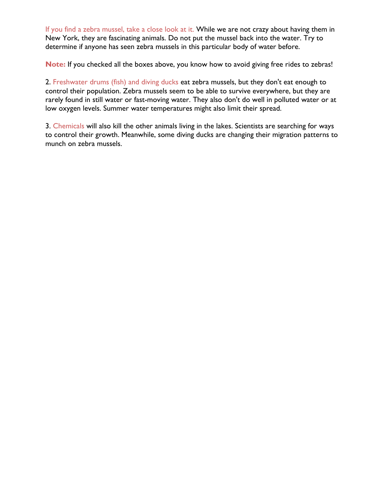If you find a zebra mussel, take a close look at it. While we are not crazy about having them in New York, they are fascinating animals. Do not put the mussel back into the water. Try to determine if anyone has seen zebra mussels in this particular body of water before.

**Note:** If you checked all the boxes above, you know how to avoid giving free rides to zebras!

2. Freshwater drums (fish) and diving ducks eat zebra mussels, but they don't eat enough to control their population. Zebra mussels seem to be able to survive everywhere, but they are rarely found in still water or fast-moving water. They also don't do well in polluted water or at low oxygen levels. Summer water temperatures might also limit their spread.

3. Chemicals will also kill the other animals living in the lakes. Scientists are searching for ways to control their growth. Meanwhile, some diving ducks are changing their migration patterns to munch on zebra mussels.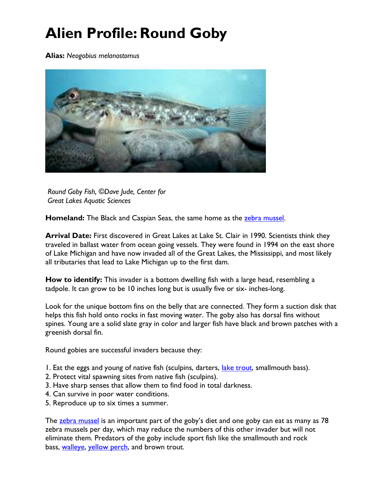# **Alien Profile: Round Goby**

**Alias:** *Neogobius melanostomus*



*Round Goby Fish, ©Dave Jude, Center for Great Lakes Aquatic Sciences*

Homeland: The Black and Caspian Seas, the same home as the [zebra mussel.](http://eekwi.org/critter/invert/zebramussel.htm)

**Arrival Date:** First discovered in Great Lakes at Lake St. Clair in 1990. Scientists think they traveled in ballast water from ocean going vessels. They were found in 1994 on the east shore of Lake Michigan and have now invaded all of the Great Lakes, the Mississippi, and most likely all tributaries that lead to Lake Michigan up to the first dam.

**How to identify:** This invader is a bottom dwelling fish with a large head, resembling a tadpole. It can grow to be 10 inches long but is usually five or six- inches-long.

Look for the unique bottom fins on the belly that are connected. They form a suction disk that helps this fish hold onto rocks in fast moving water. The goby also has dorsal fins without spines. Young are a solid slate gray in color and larger fish have black and brown patches with a greenish dorsal fin.

Round gobies are successful invaders because they:

- 1. Eat the eggs and young of native fish (sculpins, darters, *lake trout*, smallmouth bass).
- 2. Protect vital spawning sites from native fish (sculpins).
- 3. Have sharp senses that allow them to find food in total darkness.
- 4. Can survive in poor water conditions.
- 5. Reproduce up to six times a summer.

The [zebra mussel](http://eekwi.org/critter/invert/zebramussel.htm) is an important part of the goby's diet and one goby can eat as many as 78 zebra mussels per day, which may reduce the numbers of this other invader but will not eliminate them. Predators of the goby include sport fish like the smallmouth and rock bass, [walleye,](http://eekwi.org/critter/fish/walleye.htm) [yellow perch,](http://eekwi.org/critter/fish/perch.htm) and brown trout.